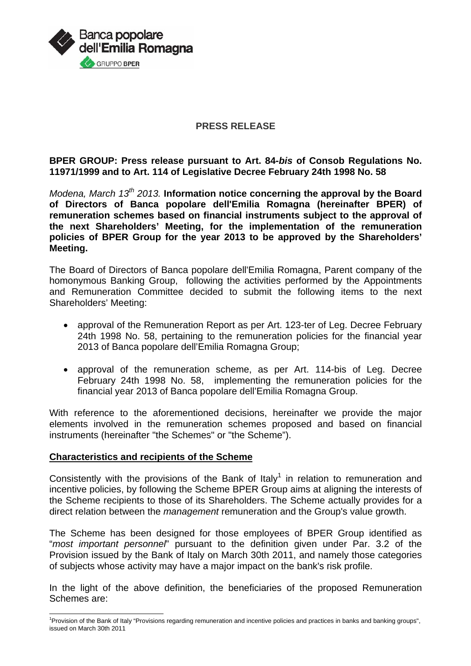

### **PRESS RELEASE**

**BPER GROUP: Press release pursuant to Art. 84-***bis* **of Consob Regulations No. 11971/1999 and to Art. 114 of Legislative Decree February 24th 1998 No. 58** 

*Modena, March 13th 2013.* **Information notice concerning the approval by the Board of Directors of Banca popolare dell'Emilia Romagna (hereinafter BPER) of remuneration schemes based on financial instruments subject to the approval of the next Shareholders' Meeting, for the implementation of the remuneration policies of BPER Group for the year 2013 to be approved by the Shareholders' Meeting.** 

The Board of Directors of Banca popolare dell'Emilia Romagna, Parent company of the homonymous Banking Group, following the activities performed by the Appointments and Remuneration Committee decided to submit the following items to the next Shareholders' Meeting:

- approval of the Remuneration Report as per Art. 123-ter of Leg. Decree February 24th 1998 No. 58, pertaining to the remuneration policies for the financial year 2013 of Banca popolare dell'Emilia Romagna Group;
- approval of the remuneration scheme, as per Art. 114-bis of Leg. Decree February 24th 1998 No. 58, implementing the remuneration policies for the financial year 2013 of Banca popolare dell'Emilia Romagna Group.

With reference to the aforementioned decisions, hereinafter we provide the major elements involved in the remuneration schemes proposed and based on financial instruments (hereinafter "the Schemes" or "the Scheme").

# **Characteristics and recipients of the Scheme**

l

Consistently with the provisions of the Bank of Italy<sup>1</sup> in relation to remuneration and incentive policies, by following the Scheme BPER Group aims at aligning the interests of the Scheme recipients to those of its Shareholders. The Scheme actually provides for a direct relation between the *management* remuneration and the Group's value growth.

The Scheme has been designed for those employees of BPER Group identified as "*most important personnel*" pursuant to the definition given under Par. 3.2 of the Provision issued by the Bank of Italy on March 30th 2011, and namely those categories of subjects whose activity may have a major impact on the bank's risk profile.

In the light of the above definition, the beneficiaries of the proposed Remuneration Schemes are:

<sup>&</sup>lt;sup>1</sup> Provision of the Bank of Italy "Provisions regarding remuneration and incentive policies and practices in banks and banking groups", issued on March 30th 2011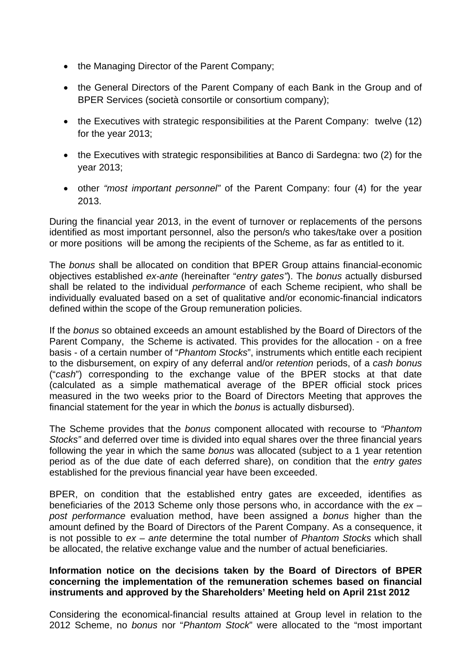- the Managing Director of the Parent Company:
- the General Directors of the Parent Company of each Bank in the Group and of BPER Services (società consortile or consortium company);
- the Executives with strategic responsibilities at the Parent Company: twelve (12) for the year 2013;
- the Executives with strategic responsibilities at Banco di Sardegna: two (2) for the year 2013;
- other *"most important personnel"* of the Parent Company: four (4) for the year 2013.

During the financial year 2013, in the event of turnover or replacements of the persons identified as most important personnel, also the person/s who takes/take over a position or more positions will be among the recipients of the Scheme, as far as entitled to it.

The *bonus* shall be allocated on condition that BPER Group attains financial-economic objectives established *ex-ante* (hereinafter "*entry gates"*). The *bonus* actually disbursed shall be related to the individual *performance* of each Scheme recipient, who shall be individually evaluated based on a set of qualitative and/or economic-financial indicators defined within the scope of the Group remuneration policies.

If the *bonus* so obtained exceeds an amount established by the Board of Directors of the Parent Company, the Scheme is activated. This provides for the allocation - on a free basis - of a certain number of "*Phantom Stocks*", instruments which entitle each recipient to the disbursement, on expiry of any deferral and/or *retention* periods, of a *cash bonus* ("*cash*") corresponding to the exchange value of the BPER stocks at that date (calculated as a simple mathematical average of the BPER official stock prices measured in the two weeks prior to the Board of Directors Meeting that approves the financial statement for the year in which the *bonus* is actually disbursed).

The Scheme provides that the *bonus* component allocated with recourse to *"Phantom Stocks"* and deferred over time is divided into equal shares over the three financial years following the year in which the same *bonus* was allocated (subject to a 1 year retention period as of the due date of each deferred share), on condition that the *entry gates* established for the previous financial year have been exceeded.

BPER, on condition that the established entry gates are exceeded, identifies as beneficiaries of the 2013 Scheme only those persons who, in accordance with the *ex – post performance* evaluation method, have been assigned a *bonus* higher than the amount defined by the Board of Directors of the Parent Company. As a consequence, it is not possible to *ex – ante* determine the total number of *Phantom Stocks* which shall be allocated, the relative exchange value and the number of actual beneficiaries.

# **Information notice on the decisions taken by the Board of Directors of BPER concerning the implementation of the remuneration schemes based on financial instruments and approved by the Shareholders' Meeting held on April 21st 2012**

Considering the economical-financial results attained at Group level in relation to the 2012 Scheme, no *bonus* nor "*Phantom Stock*" were allocated to the "most important